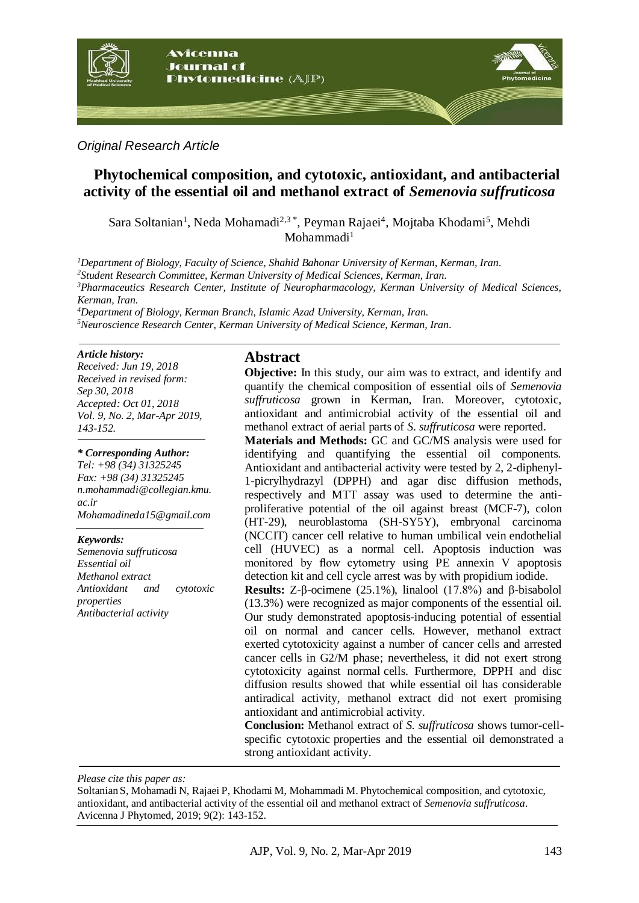

*Original Research Article*

# **Phytochemical composition, and cytotoxic, antioxidant, and antibacterial activity of the essential oil and methanol extract of** *Semenovia suffruticosa*

Sara Soltanian<sup>1</sup>, Neda Mohamadi<sup>2,3</sup>\*, Peyman Rajaei<sup>4</sup>, Mojtaba Khodami<sup>5</sup>, Mehdi Mohammadi<sup>1</sup>

*Department of Biology, Faculty of Science, Shahid Bahonar University of Kerman, Kerman, Iran. Student Research Committee, Kerman University of Medical Sciences, Kerman, Iran. Pharmaceutics Research Center, Institute of Neuropharmacology, Kerman University of Medical Sciences, Kerman, Iran. Department of Biology, Kerman Branch, Islamic Azad University, Kerman, Iran. Neuroscience Research Center, Kerman University of Medical Science, Kerman, Iran.*

#### *Article history:*

*Received: Jun 19, 2018 Received in revised form: Sep 30, 2018 Accepted: Oct 01, 2018 Vol. 9, No. 2, Mar-Apr 2019, 143-152.*

#### *\* Corresponding Author:*

*Tel: +98 (34) 31325245 Fax: +98 (34) 31325245 [n.mohammadi@collegian.kmu.](mailto:n.mohammadi@collegian.kmu.ac.ir) [ac.ir](mailto:n.mohammadi@collegian.kmu.ac.ir) Mohamadineda15@gmail.com*

#### *Keywords:*

*Semenovia suffruticosa Essential oil Methanol extract Antioxidant and cytotoxic properties Antibacterial activity*

#### **Abstract**

**Objective:** In this study, our aim was to extract, and identify and quantify the chemical composition of essential oils of *Semenovia suffruticosa* grown in Kerman, Iran. Moreover, cytotoxic, antioxidant and antimicrobial activity of the essential oil and methanol extract of aerial parts of *S. suffruticosa* were reported.

**Materials and Methods:** GC and GC/MS analysis were used for identifying and quantifying the essential oil components. Antioxidant and antibacterial activity were tested by 2, 2-diphenyl-1-picrylhydrazyl (DPPH) and agar disc diffusion methods, respectively and MTT assay was used to determine the antiproliferative potential of the oil against breast (MCF-7), colon (HT-29), neuroblastoma (SH-SY5Y), embryonal carcinoma (NCCIT) cancer cell relative to human umbilical vein endothelial cell (HUVEC) as a normal cell. Apoptosis induction was monitored by flow cytometry using PE annexin V apoptosis detection kit and cell cycle arrest was by with propidium iodide.

**Results:** Z-β-ocimene (25.1%), linalool (17.8%) and β-bisabolol (13.3%) were recognized as major components of the essential oil. Our study demonstrated apoptosis-inducing potential of essential oil on normal and cancer cells. However, methanol extract exerted cytotoxicity against a number of cancer cells and arrested cancer cells in G2/M phase; nevertheless, it did not exert strong cytotoxicity against normal cells. Furthermore, DPPH and disc diffusion results showed that while essential oil has considerable antiradical activity, methanol extract did not exert promising antioxidant and antimicrobial activity.

**Conclusion:** Methanol extract of *S. suffruticosa* shows tumor-cellspecific cytotoxic properties and the essential oil demonstrated a strong antioxidant activity.

*Please cite this paper as:* 

Soltanian S, Mohamadi N, Rajaei P, Khodami M, Mohammadi M. Phytochemical composition, and cytotoxic, antioxidant, and antibacterial activity of the essential oil and methanol extract of *Semenovia suffruticosa*. Avicenna J Phytomed, 2019; 9(2): 143-152.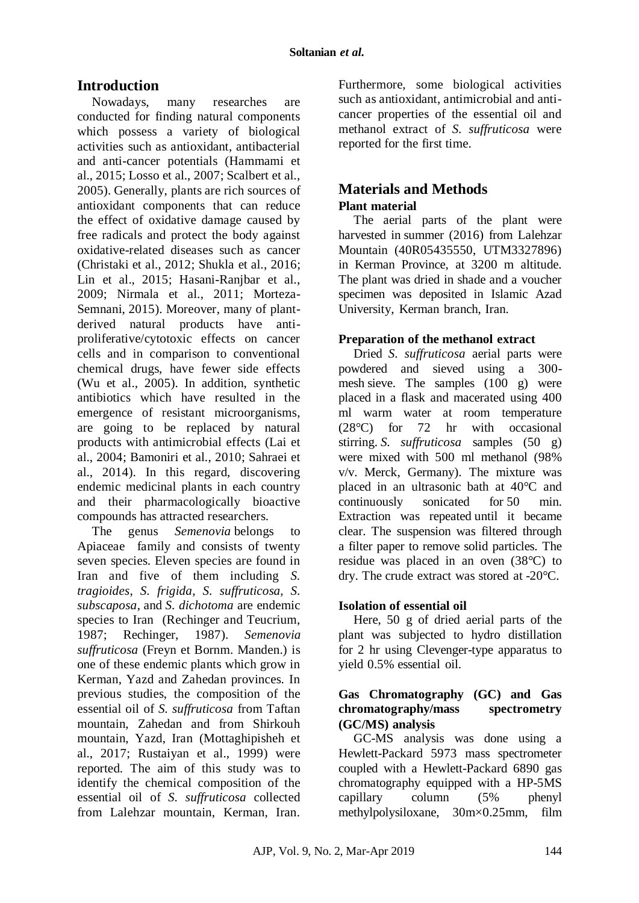# **Introduction**

Nowadays, many researches are conducted for finding natural components which possess a variety of biological activities such as antioxidant, antibacterial and anti-cancer potentials (Hammami et al., 2015; Losso et al., 2007; Scalbert et al., 2005). Generally, plants are rich sources of antioxidant components that can reduce the effect of oxidative damage caused by free radicals and protect the body against oxidative-related diseases such as cancer (Christaki et al., 2012; Shukla et al., 2016; Lin et al., 2015; Hasani-Ranjbar et al., 2009; Nirmala et al., 2011; Morteza-Semnani, 2015). Moreover, many of plantderived natural products have antiproliferative/cytotoxic effects on cancer cells and in comparison to conventional chemical drugs, have fewer side effects (Wu et al., 2005). In addition, synthetic antibiotics which have resulted in the emergence of resistant microorganisms, are going to be replaced by natural products with antimicrobial effects (Lai et al., 2004; Bamoniri et al., 2010; Sahraei et al., 2014). In this regard, discovering endemic medicinal plants in each country and their pharmacologically bioactive compounds has attracted researchers.

The genus *Semenovia* belongs to [Apiaceae](http://www.theplantlist.org/browse/A/Apiaceae/) family and consists of twenty seven species. Eleven species are found in Iran and five of them including *S. tragioides*, *S. frigida, S. suffruticosa, S. subscaposa*, and *S. dichotoma* are endemic species to Iran (Rechinger and Teucrium, 1987; Rechinger, 1987). *Semenovia suffruticosa* (Freyn et Bornm. Manden.) is one of these endemic plants which grow in Kerman, Yazd and Zahedan provinces. In previous studies, the composition of the essential oil of *S. suffruticosa* from Taftan mountain, Zahedan and from Shirkouh mountain, Yazd, Iran (Mottaghipisheh et al., 2017; Rustaiyan et al., 1999) were reported. The aim of this study was to identify the chemical composition of the essential oil of *S. suffruticosa* collected from Lalehzar mountain, Kerman, Iran.

Furthermore, some biological activities such as antioxidant, antimicrobial and anticancer properties of the essential oil and methanol extract of *S. suffruticosa* were reported for the first time.

## **Materials and Methods Plant material**

The aerial parts of the plant were harvested in summer (2016) from Lalehzar Mountain (40R05435550, UTM3327896) in Kerman Province, at 3200 m altitude. The plant was dried in shade and a voucher specimen was deposited in Islamic Azad University, Kerman branch, Iran.

#### **Preparation of the methanol extract**

Dried *S. suffruticosa* aerial parts were powdered and sieved using a 300 mesh sieve. The samples (100 g) were placed in a flask and macerated using 400 ml warm water at room temperature (28°C) for 72 hr with occasional stirring. *S. suffruticosa* samples (50 g) were mixed with 500 ml methanol (98% v/v. Merck, Germany). The mixture was placed in an ultrasonic bath at 40°C and continuously sonicated for 50 min. Extraction was repeated until it became clear. The suspension was filtered through a filter paper to remove solid particles. The residue was placed in an oven (38°C) to dry. The crude extract was stored at -20°C.

#### **Isolation of essential oil**

Here, 50 g of dried aerial parts of the plant was subjected to hydro distillation for 2 hr using Clevenger-type apparatus to yield 0.5% essential oil.

## **Gas Chromatography (GC) and Gas chromatography/mass spectrometry (GC/MS) analysis**

GC-MS analysis was done using a Hewlett-Packard 5973 mass spectrometer coupled with a Hewlett-Packard 6890 gas chromatography equipped with a HP-5MS capillary column (5% phenyl methylpolysiloxane, 30m×0.25mm, film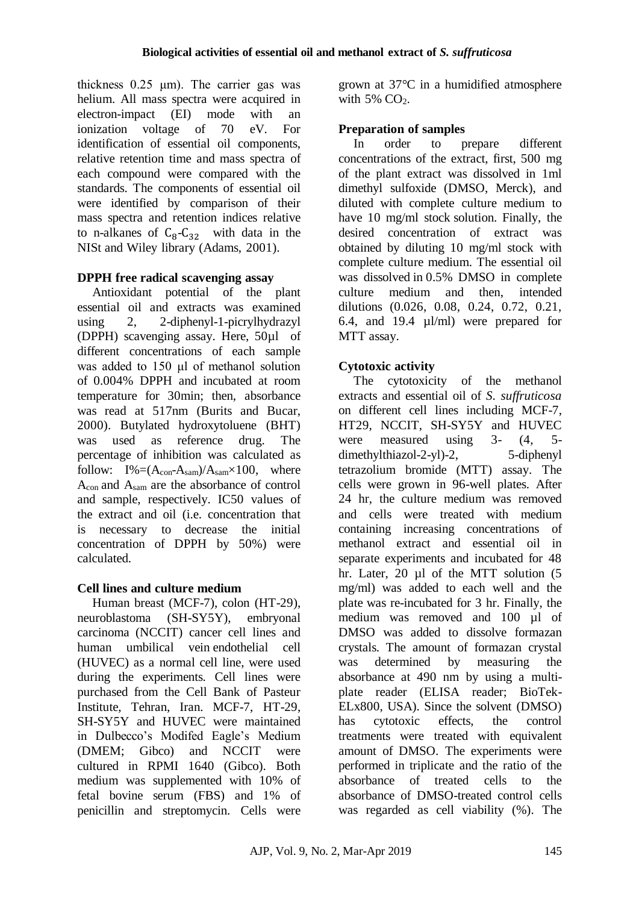thickness 0.25 μm). The carrier gas was helium. All mass spectra were acquired in electron-impact (EI) mode with an ionization voltage of 70 eV. For identification of essential oil components, relative retention time and mass spectra of each compound were compared with the standards. The components of essential oil were identified by comparison of their mass spectra and retention indices relative to n-alkanes of  $C_8$ - $C_{32}$  with data in the NISt and Wiley library (Adams, 2001).

## **DPPH free radical scavenging assay**

Antioxidant potential of the plant essential oil and extracts was examined using 2, 2-diphenyl-1-picrylhydrazyl (DPPH) scavenging assay. Here, 50µl of different concentrations of each sample was added to 150 μl of methanol solution of 0.004% DPPH and incubated at room temperature for 30min; then, absorbance was read at 517nm (Burits and Bucar, 2000). Butylated hydroxytoluene (BHT) was used as reference drug. The percentage of inhibition was calculated as follow:  $I\% = (A_{con} - A_{sam})/A_{sam} \times 100$ , where Acon and Asam are the absorbance of control and sample, respectively. IC50 values of the extract and oil (i.e. concentration that is necessary to decrease the initial concentration of DPPH by 50%) were calculated.

# **Cell lines and culture medium**

Human breast (MCF-7), colon (HT-29), neuroblastoma (SH-SY5Y), embryonal carcinoma (NCCIT) cancer cell lines and human umbilical vein endothelial cell (HUVEC) as a normal cell line, were used during the experiments. Cell lines were purchased from the Cell Bank of Pasteur Institute, Tehran, Iran. MCF-7, HT-29, SH-SY5Y and HUVEC were maintained in Dulbecco's Modifed Eagle's Medium (DMEM; Gibco) and NCCIT were cultured in RPMI 1640 (Gibco). Both medium was supplemented with 10% of fetal bovine serum (FBS) and 1% of penicillin and streptomycin. Cells were grown at 37°C in a humidified atmosphere with  $5\%$  CO<sub>2</sub>.

## **Preparation of samples**

In order to prepare different concentrations of the extract, first, 500 mg of the plant extract was dissolved in 1ml dimethyl sulfoxide (DMSO, Merck), and diluted with complete culture medium to have 10 mg/ml stock solution. Finally, the desired concentration of extract was obtained by diluting 10 mg/ml stock with complete culture medium. The essential oil was dissolved in 0.5% DMSO in complete culture medium and then, intended dilutions (0.026, 0.08, 0.24, 0.72, 0.21, 6.4, and 19.4 µl/ml) were prepared for MTT assay.

# **Cytotoxic activity**

The cytotoxicity of the methanol extracts and essential oil of *S. suffruticosa* on different cell lines including MCF-7, HT29, NCCIT, SH-SY5Y and HUVEC were measured using 3- (4, 5 dimethylthiazol-2-yl)-2, 5-diphenyl tetrazolium bromide (MTT) assay. The cells were grown in 96-well plates. After 24 hr, the culture medium was removed and cells were treated with medium containing increasing concentrations of methanol extract and essential oil in separate experiments and incubated for 48 hr. Later, 20 µl of the MTT solution (5 mg/ml) was added to each well and the plate was re-incubated for 3 hr. Finally, the medium was removed and 100 ul of DMSO was added to dissolve formazan crystals. The amount of formazan crystal was determined by measuring the absorbance at 490 nm by using a multiplate reader (ELISA reader; BioTek-ELx800, USA). Since the solvent (DMSO) has cytotoxic effects, the control treatments were treated with equivalent amount of DMSO. The experiments were performed in triplicate and the ratio of the absorbance of treated cells to the absorbance of DMSO-treated control cells was regarded as cell viability (%). The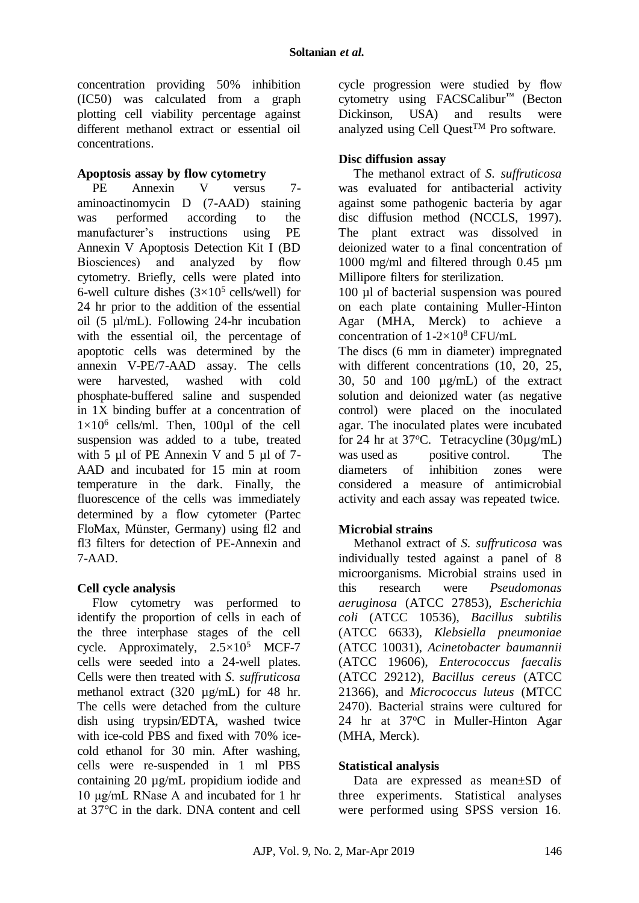concentration providing 50% inhibition (IC50) was calculated from a graph plotting cell viability percentage against different methanol extract or essential oil concentrations.

# **Apoptosis assay by flow cytometry**<br>PE Annexin V versus

PE Annexin V versus 7 aminoactinomycin D (7-AAD) staining was performed according to the manufacturer's instructions using PE Annexin V Apoptosis Detection Kit I (BD Biosciences) and analyzed by flow cytometry. Briefly, cells were plated into 6-well culture dishes  $(3\times10^5 \text{ cells/well})$  for 24 hr prior to the addition of the essential oil (5 µl/mL). Following 24-hr incubation with the essential oil, the percentage of apoptotic cells was determined by the annexin V-PE/7-AAD assay. The cells were harvested, washed with cold phosphate-buffered saline and suspended in 1X binding buffer at a concentration of 1×10<sup>6</sup> cells/ml. Then, 100µl of the cell suspension was added to a tube, treated with 5 µl of PE Annexin V and 5 µl of 7-AAD and incubated for 15 min at room temperature in the dark. Finally, the fluorescence of the cells was immediately determined by a flow cytometer (Partec FloMax, Münster, Germany) using fl2 and fl3 filters for detection of PE-Annexin and 7-AAD.

#### **Cell cycle analysis**

Flow cytometry was performed to identify the proportion of cells in each of the three interphase stages of the cell cycle. Approximately,  $2.5 \times 10^5$  MCF-7 cells were seeded into a 24-well plates. Cells were then treated with *S. suffruticosa*  methanol extract (320 µg/mL) for 48 hr. The cells were detached from the culture dish using trypsin/EDTA, washed twice with ice-cold PBS and fixed with 70% icecold ethanol for 30 min. After washing, cells were re-suspended in 1 ml PBS containing 20 µg/mL propidium iodide and 10 μg/mL RNase A and incubated for 1 hr at 37°C in the dark. DNA content and cell cycle progression were studied by flow cytometry using FACSCalibur™ (Becton Dickinson, USA) and results were analyzed using Cell Quest<sup>™</sup> Pro software.

#### **Disc diffusion assay**

The methanol extract of *S. suffruticosa*  was evaluated for antibacterial activity against some pathogenic bacteria by agar disc diffusion method (NCCLS, 1997). The plant extract was dissolved in deionized water to a final concentration of 1000 mg/ml and filtered through 0.45 µm Millipore filters for sterilization.

100 µl of bacterial suspension was poured on each plate containing Muller-Hinton Agar (MHA, Merck) to achieve a concentration of  $1-2\times10^8$  CFU/mL

The discs (6 mm in diameter) impregnated with different concentrations (10, 20, 25, 30, 50 and 100 µg/mL) of the extract solution and deionized water (as negative control) were placed on the inoculated agar. The inoculated plates were incubated for 24 hr at  $37^{\circ}$ C. Tetracycline  $(30\mu g/mL)$ was used as positive control. The diameters of inhibition zones were considered a measure of antimicrobial activity and each assay was repeated twice.

#### **Microbial strains**

Methanol extract of *S. suffruticosa* was individually tested against a panel of 8 microorganisms. Microbial strains used in this research were *Pseudomonas aeruginosa* (ATCC 27853), *Escherichia coli* (ATCC 10536), *Bacillus subtilis* (ATCC 6633), *Klebsiella pneumoniae* (ATCC 10031), *Acinetobacter baumannii* (ATCC 19606), *Enterococcus faecalis* (ATCC 29212), *Bacillus cereus* (ATCC 21366), and *Micrococcus luteus* (MTCC 2470). Bacterial strains were cultured for 24 hr at 37°C in Muller-Hinton Agar (MHA, Merck).

#### **Statistical analysis**

Data are expressed as mean±SD of three experiments. Statistical analyses were performed using SPSS version 16.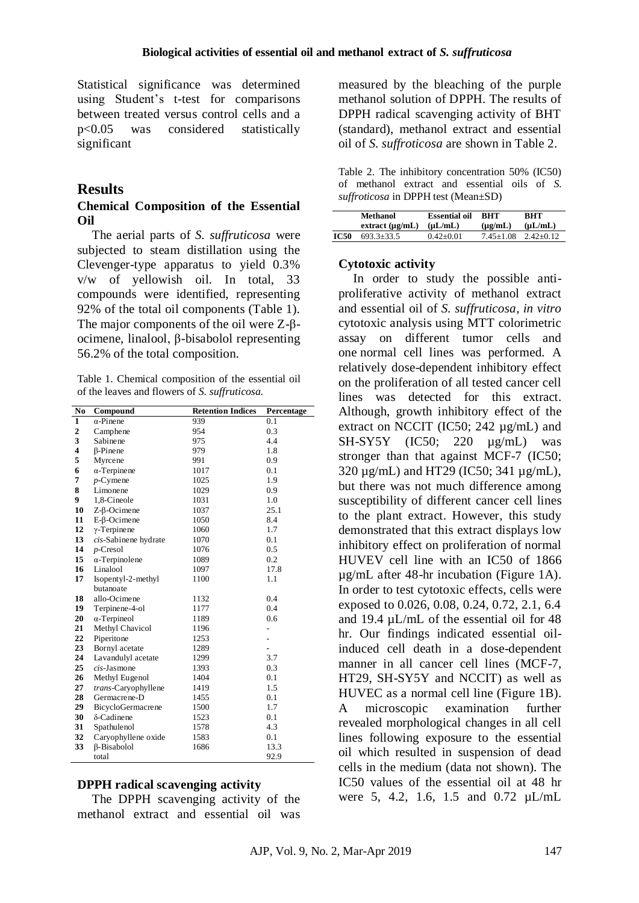Statistical significance was determined using Student's t-test for comparisons between treated versus control cells and a p<0.05 was considered statistically significant

#### **Results**

#### **Chemical Composition of the Essential Oil**

The aerial parts of *S. suffruticosa* were subjected to steam distillation using the Clevenger-type apparatus to yield 0.3% v/w of yellowish oil. In total, 33 compounds were identified, representing 92% of the total oil components (Table 1). The major components of the oil were Z-βocimene, linalool, β-bisabolol representing 56.2% of the total composition.

Table 1. Chemical composition of the essential oil of the leaves and flowers of *S. suffruticosa.*

| No                      | Compound               | <b>Retention Indices</b> | Percentage |
|-------------------------|------------------------|--------------------------|------------|
| 1                       | $\alpha$ -Pinene       | 939                      | 0.1        |
| $\overline{\mathbf{2}}$ | Camphene               | 954                      | 0.3        |
| 3                       | Sabinene               | 975                      | 4.4        |
| 4                       | $\beta$ -Pinene        | 979                      | 1.8        |
| 5                       | Myrcene                | 991                      | 0.9        |
| 6                       | $\alpha$ -Terpinene    | 1017                     | 0.1        |
| 7                       | $p$ -Cymene            | 1025                     | 1.9        |
| 8                       | Limonene               | 1029                     | 0.9        |
| 9                       | 1,8-Cineole            | 1031                     | 1.0        |
| 10                      | $Z$ - $\beta$ -Ocimene | 1037                     | 25.1       |
| 11                      | $E$ - $\beta$ -Ocimene | 1050                     | 8.4        |
| 12                      | $\gamma$ -Terpinene    | 1060                     | 1.7        |
| 13                      | cis-Sabinene hydrate   | 1070                     | 0.1        |
| 14                      | $p$ -Cresol            | 1076                     | 0.5        |
| 15                      | $\alpha$ -Terpinolene  | 1089                     | 0.2        |
| 16                      | Linalool               | 1097                     | 17.8       |
| 17                      | Isopentyl-2-methyl     | 1100                     | 1.1        |
|                         | butanoate              |                          |            |
| 18                      | allo-Ocimene           | 1132                     | 0.4        |
| 19                      | Terpinene-4-ol         | 1177                     | 0.4        |
| 20                      | $\alpha$ -Terpineol    | 1189                     | 0.6        |
| 21                      | Methyl Chavicol        | 1196                     |            |
| 22                      | Piperitone             | 1253                     |            |
| 23                      | Bornyl acetate         | 1289                     |            |
| 24                      | Lavandulyl acetate     | 1299                     | 3.7        |
| 25                      | $cis$ -Jasmone         | 1393                     | 0.3        |
| 26                      | Methyl Eugenol         | 1404                     | 0.1        |
| 27                      | trans-Caryophyllene    | 1419                     | 1.5        |
| 28                      | Germacrene-D           | 1455                     | 0.1        |
| 29                      | BicycloGermacrene      | 1500                     | 1.7        |
| 30                      | $\delta$ -Cadinene     | 1523                     | 0.1        |
| 31                      | Spathulenol            | 1578                     | 4.3        |
| 32                      | Caryophyllene oxide    | 1583                     | 0.1        |
| 33                      | β-Bisabolol            | 1686                     | 13.3       |
|                         | total                  |                          | 92.9       |

#### **DPPH radical scavenging activity**

The DPPH scavenging activity of the methanol extract and essential oil was

measured by the bleaching of the purple methanol solution of DPPH. The results of DPPH radical scavenging activity of BHT (standard), methanol extract and essential oil of *S. suffroticosa* are shown in Table 2.

Table 2. The inhibitory concentration 50% (IC50) of methanol extract and essential oils of *S. suffroticosa* in DPPH test (Mean±SD)

|             | Methanol             | <b>Essential oil</b> | <b>BHT</b>    | <b>BHT</b>   |
|-------------|----------------------|----------------------|---------------|--------------|
|             | extract $(\mu g/mL)$ | $(\mu L/mL)$         | $(\mu g/mL)$  | $(\mu L/mL)$ |
| <b>IC50</b> | $693.3 \pm 33.5$     | $0.42+0.01$          | $7.45 + 1.08$ | $2.42+0.12$  |

#### **Cytotoxic activity**

In order to study the possible antiproliferative activity of methanol extract and essential oil of *S. suffruticosa*, *in vitro* cytotoxic analysis using MTT colorimetric assay on different tumor cells and one normal cell lines was performed. A relatively dose-dependent inhibitory effect on the proliferation of all tested cancer cell lines was detected for this extract. Although, growth inhibitory effect of the extract on NCCIT (IC50; 242 µg/mL) and  $SH-SY5Y$  (IC50; 220  $\mu$ g/mL) was stronger than that against MCF-7 (IC50; 320 µg/mL) and HT29 (IC50; 341 µg/mL), but there was not much difference among susceptibility of different cancer cell lines to the plant extract. However, this study demonstrated that this extract displays low inhibitory effect on proliferation of normal HUVEV cell line with an IC50 of 1866 µg/mL after 48-hr incubation (Figure 1A). In order to test cytotoxic effects, cells were exposed to 0.026, 0.08, 0.24, 0.72, 2.1, 6.4 and 19.4 µL/mL of the essential oil for 48 hr. Our findings indicated essential oilinduced cell death in a dose-dependent manner in all cancer cell lines (MCF-7, HT29, SH-SY5Y and NCCIT) as well as HUVEC as a normal cell line (Figure 1B). A microscopic examination further revealed morphological changes in all cell lines following exposure to the essential oil which resulted in suspension of dead cells in the medium (data not shown). The IC50 values of the essential oil at 48 hr were 5, 4.2, 1.6, 1.5 and 0.72 µL/mL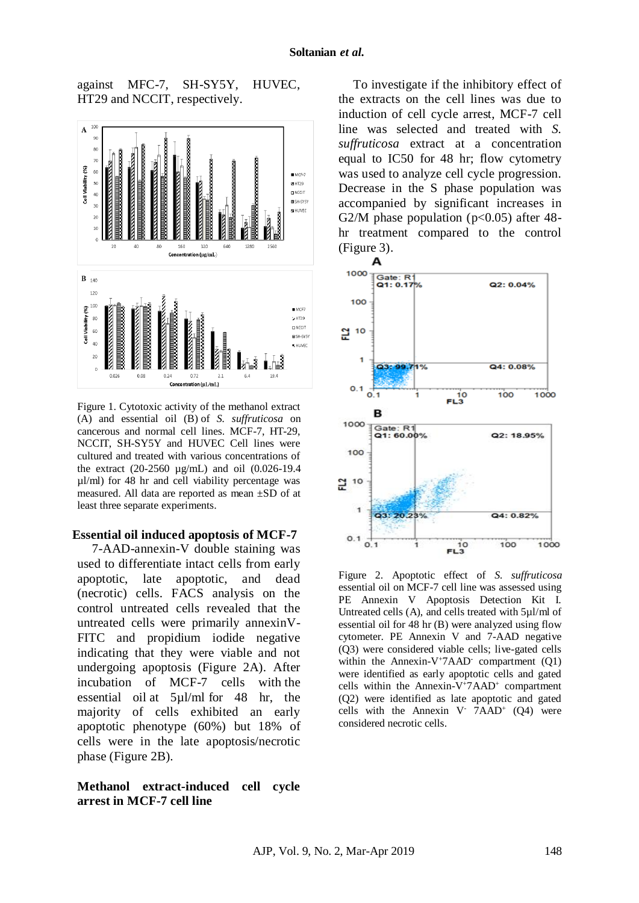against MFC-7, SH-SY5Y, HUVEC, HT29 and NCCIT, respectively.



Figure 1. Cytotoxic activity of the methanol extract (A) and essential oil (B) of *S. suffruticosa* on cancerous and normal cell lines. MCF-7, HT-29, NCCIT, SH-SY5Y and HUVEC Cell lines were cultured and treated with various concentrations of the extract (20-2560 µg/mL) and oil (0.026-19.4 µl/ml) for 48 hr and cell viability percentage was measured. All data are reported as mean ±SD of at least three separate experiments.

#### **Essential oil induced apoptosis of MCF-7**

7-AAD-annexin-V double staining was used to differentiate intact cells from early apoptotic, late apoptotic, and dead (necrotic) cells. FACS analysis on the control untreated cells revealed that the untreated cells were primarily annexinV-FITC and propidium iodide negative indicating that they were viable and not undergoing apoptosis (Figure 2A). After incubation of MCF-7 cells with the essential oil at 5µl/ml for 48 hr, the majority of cells exhibited an early apoptotic phenotype (60%) but 18% of cells were in the late apoptosis/necrotic phase (Figure 2B).

**Methanol extract-induced cell cycle arrest in MCF-7 cell line**

To investigate if the inhibitory effect of the extracts on the cell lines was due to induction of cell cycle arrest, MCF-7 cell line was selected and treated with *S. suffruticosa* extract at a concentration equal to IC50 for 48 hr; flow cytometry was used to analyze cell cycle progression. Decrease in the S phase population was accompanied by significant increases in G2/M phase population ( $p<0.05$ ) after 48hr treatment compared to the control (Figure 3).



Figure 2. Apoptotic effect of *S. suffruticosa*  essential oil on MCF-7 cell line was assessed using PE Annexin V Apoptosis Detection Kit I. Untreated cells (A), and cells treated with 5µl/ml of essential oil for 48 hr (B) were analyzed using flow cytometer. PE Annexin V and 7-AAD negative (Q3) were considered viable cells; live-gated cells within the Annexin-V<sup>+</sup>7AAD<sup>-</sup> compartment (Q1) were identified as early apoptotic cells and gated cells within the Annexin-V<sup>+</sup>7AAD<sup>+</sup> compartment (Q2) were identified as late apoptotic and gated cells with the Annexin V<sup>-</sup>  $7AAD$ <sup>+</sup> (Q4) were considered necrotic cells.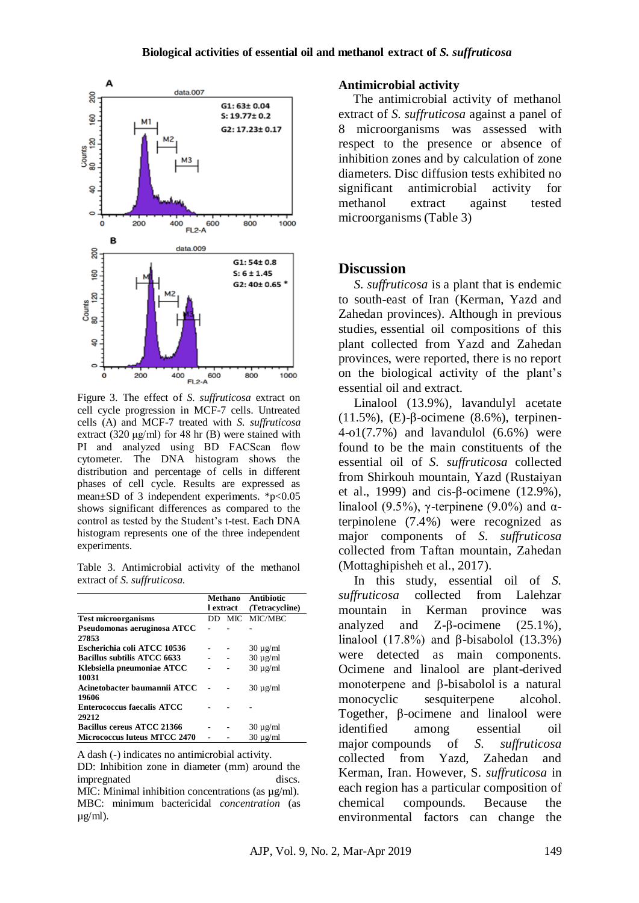

Figure 3. The effect of *S. suffruticosa* extract on cell cycle progression in MCF-7 cells. Untreated cells (A) and MCF-7 treated with *S. suffruticosa*  extract (320 μg/ml) for 48 hr (B) were stained with PI and analyzed using BD FACScan flow cytometer. The DNA histogram shows the distribution and percentage of cells in different phases of cell cycle. Results are expressed as mean $\pm$ SD of 3 independent experiments. \*p<0.05 shows significant differences as compared to the control as tested by the Student's t-test. Each DNA histogram represents one of the three independent experiments.

Table 3. Antimicrobial activity of the methanol extract of *S. suffruticosa*.

|                                    | Methano   |  | Antibiotic     |
|------------------------------------|-----------|--|----------------|
|                                    | l extract |  | (Tetracycline) |
| <b>Test microorganisms</b>         |           |  | DD MIC MIC/MBC |
| Pseudomonas aeruginosa ATCC        |           |  |                |
| 27853                              |           |  |                |
| Escherichia coli ATCC 10536        |           |  | $30 \mu g/ml$  |
| <b>Bacillus subtilis ATCC 6633</b> |           |  | $30 \mu g/ml$  |
| Klebsiella pneumoniae ATCC         |           |  | $30 \mu g/ml$  |
| 10031                              |           |  |                |
| Acinetobacter baumannii ATCC       |           |  | $30 \mu g/ml$  |
| 19606                              |           |  |                |
| Enterococcus faecalis ATCC         |           |  |                |
| 29212                              |           |  |                |
| Bacillus cereus ATCC 21366         |           |  | $30 \mu g/ml$  |
| Micrococcus luteus MTCC 2470       |           |  | $30 \mu g/ml$  |

A dash (-) indicates no antimicrobial activity. DD: Inhibition zone in diameter (mm) around the impregnated discs. MIC: Minimal inhibition concentrations (as  $\mu$ g/ml). MBC: minimum bactericidal *concentration* (as  $\mu$ g/ml).

#### **Antimicrobial activity**

The antimicrobial activity of methanol extract of *S. suffruticosa* against a panel of 8 microorganisms was assessed with respect to the presence or absence of inhibition zones and by calculation of zone diameters. Disc diffusion tests exhibited no<br>significant antimicrobial activity for antimicrobial activity for methanol extract against tested microorganisms (Table 3)

#### **Discussion**

*S. suffruticosa* is a plant that is endemic to south-east of Iran (Kerman, Yazd and Zahedan provinces). Although in previous studies, essential oil compositions of this plant collected from Yazd and Zahedan provinces, were reported, there is no report on the biological activity of the plant's essential oil and extract.

Linalool (13.9%), lavandulyl acetate (11.5%), (E)-β-ocimene (8.6%), terpinen-4-o1(7.7%) and lavandulol (6.6%) were found to be the main constituents of the essential oil of *S. suffruticosa* collected from Shirkouh mountain, Yazd (Rustaiyan et al., 1999) and cis-β-ocimene (12.9%), linalool (9.5%), γ-terpinene (9.0%) and  $\alpha$ terpinolene (7.4%) were recognized as major components of *S. suffruticosa* collected from Taftan mountain, Zahedan (Mottaghipisheh et al., 2017).

In this study, essential oil of *S. suffruticosa* collected from Lalehzar mountain in Kerman province was analyzed and Z-β-ocimene (25.1%), linalool (17.8%) and β-bisabolol (13.3%) were detected as main components. Ocimene and linalool are plant-derived monoterpene and β-bisabolol is a natural monocyclic sesquiterpene alcohol. Together, β-ocimene and linalool were identified among essential oil major compounds of *S. suffruticosa*  collected from Yazd, Zahedan and Kerman, Iran. However, S. *suffruticosa* in each region has a particular composition of chemical compounds. Because the environmental factors can change the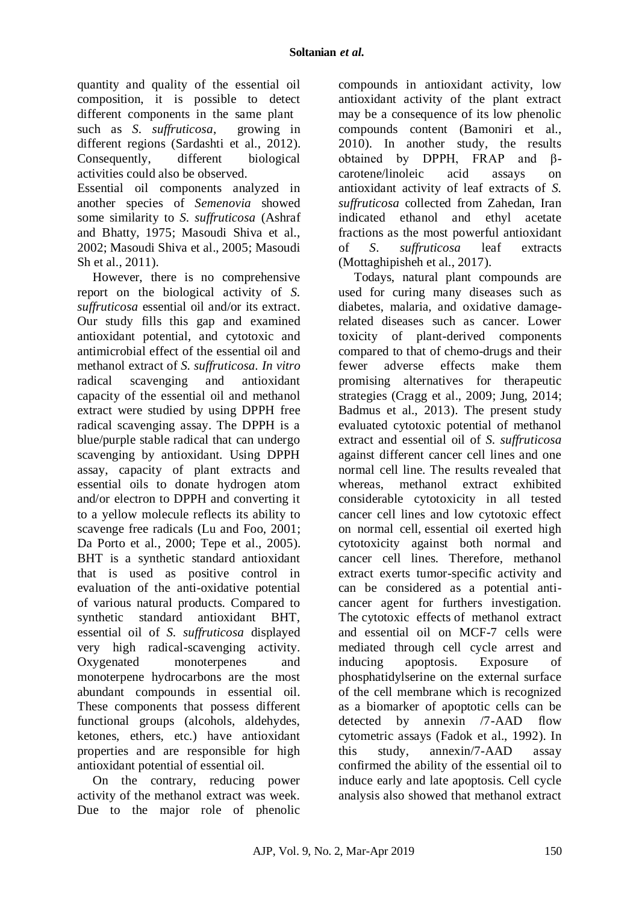quantity and quality of the essential oil composition, it is possible to detect different components in the same plant such as *S. suffruticosa*, growing in different regions (Sardashti et al., 2012). Consequently, different biological activities could also be observed.

Essential oil components analyzed in another species of *Semenovia* showed some similarity to *S. suffruticosa* (Ashraf and Bhatty, 1975; Masoudi Shiva et al., 2002; Masoudi Shiva et al., 2005; Masoudi Sh et al., 2011).

However, there is no comprehensive report on the biological activity of *S. suffruticosa* essential oil and/or its extract. Our study fills this gap and examined antioxidant potential, and cytotoxic and antimicrobial effect of the essential oil and methanol extract of *S. suffruticosa. In vitro* radical scavenging and antioxidant capacity of the essential oil and methanol extract were studied by using DPPH free radical scavenging assay. The DPPH is a blue/purple stable radical that can undergo scavenging by antioxidant. Using DPPH assay, capacity of plant extracts and essential oils to donate hydrogen atom and/or electron to DPPH and converting it to a yellow molecule reflects its ability to scavenge free radicals (Lu and Foo, 2001; Da Porto et al., 2000; Tepe et al., 2005). BHT is a synthetic standard antioxidant that is used as positive control in evaluation of the anti-oxidative potential of various natural products. Compared to synthetic standard antioxidant BHT, essential oil of *S. suffruticosa* displayed very high radical-scavenging activity. Oxygenated monoterpenes and monoterpene hydrocarbons are the most abundant compounds in essential oil. These components that possess different functional groups (alcohols, aldehydes, ketones, ethers, etc.) have antioxidant properties and are responsible for high antioxidant potential of essential oil.

On the contrary, reducing power activity of the methanol extract was week. Due to the major role of phenolic

compounds in antioxidant activity, low antioxidant activity of the plant extract may be a consequence of its low phenolic compounds content (Bamoniri et al., 2010). In another study, the results obtained by DPPH, FRAP and βcarotene/linoleic acid assays on antioxidant activity of leaf extracts of *S. suffruticosa* collected from Zahedan, Iran indicated ethanol and ethyl acetate fractions as the most powerful antioxidant of *S*. *suffruticosa* leaf extracts (Mottaghipisheh et al., 2017).

Todays, natural plant compounds are used for curing many diseases such as diabetes, malaria, and oxidative damagerelated diseases such as cancer. Lower toxicity of plant-derived components compared to that of chemo-drugs and their fewer adverse effects make them promising alternatives for therapeutic strategies (Cragg et al., 2009; Jung, 2014; Badmus et al., 2013). The present study evaluated cytotoxic potential of methanol extract and essential oil of *S. suffruticosa*  against different cancer cell lines and one normal cell line. The results revealed that whereas, methanol extract exhibited considerable cytotoxicity in all tested cancer cell lines and low cytotoxic effect on normal cell, essential oil exerted high cytotoxicity against both normal and cancer cell lines. Therefore, methanol extract exerts tumor-specific activity and can be considered as a potential anticancer agent for furthers investigation. The cytotoxic effects of methanol extract and essential oil on MCF-7 cells were mediated through cell cycle arrest and inducing apoptosis. Exposure of phosphatidylserine on the external surface of the cell membrane which is recognized as a biomarker of apoptotic cells can be detected by annexin /7-AAD flow cytometric assays (Fadok et al., 1992). In this study, annexin/7-AAD assay confirmed the ability of the essential oil to induce early and late apoptosis. Cell cycle analysis also showed that methanol extract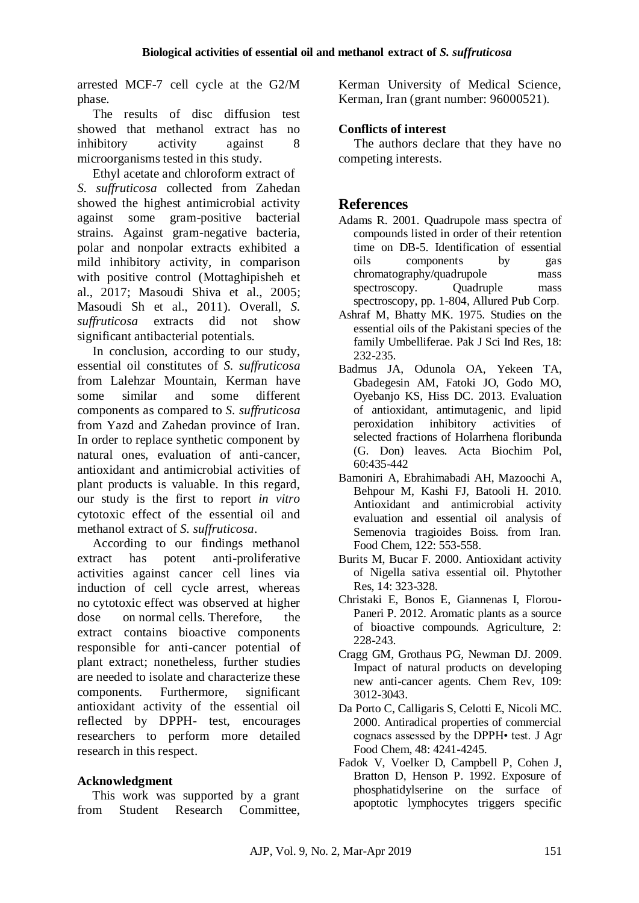arrested MCF-7 cell cycle at the G2/M phase.

The results of disc diffusion test showed that methanol extract has no inhibitory activity against 8 microorganisms tested in this study.

Ethyl acetate and chloroform extract of *S. suffruticosa* collected from Zahedan showed the highest antimicrobial activity against some gram-positive bacterial strains. Against gram-negative bacteria, polar and nonpolar extracts exhibited a mild inhibitory activity, in comparison with positive control (Mottaghipisheh et al., 2017; Masoudi Shiva et al., 2005; Masoudi Sh et al., 2011). Overall, *S. suffruticosa* extracts did not show significant antibacterial potentials.

In conclusion, according to our study, essential oil constitutes of *S. suffruticosa*  from Lalehzar Mountain, Kerman have some similar and some different components as compared to *S. suffruticosa*  from Yazd and Zahedan province of Iran. In order to replace synthetic component by natural ones, evaluation of anti-cancer, antioxidant and antimicrobial activities of plant products is valuable. In this regard, our study is the first to report *in vitro* cytotoxic effect of the essential oil and methanol extract of *S. suffruticosa*.

According to our findings methanol extract has potent anti-proliferative activities against cancer cell lines via induction of cell cycle arrest, whereas no cytotoxic effect was observed at higher dose on normal cells. Therefore, the extract contains bioactive components responsible for anti-cancer potential of plant extract; nonetheless, further studies are needed to isolate and characterize these components. Furthermore, significant antioxidant activity of the essential oil reflected by DPPH- test, encourages researchers to perform more detailed research in this respect.

#### **Acknowledgment**

This work was supported by a grant from Student Research Committee,

Kerman University of Medical Science, Kerman, Iran (grant number: 96000521).

## **Conflicts of interest**

The authors declare that they have no competing interests.

# **References**

- Adams R. 2001. Quadrupole mass spectra of compounds listed in order of their retention time on DB-5. Identification of essential oils components by gas chromatography/quadrupole mass spectroscopy. Quadruple mass spectroscopy, pp. 1-804, Allured Pub Corp.
- Ashraf M, Bhatty MK. 1975. Studies on the essential oils of the Pakistani species of the family Umbelliferae. Pak J Sci Ind Res, 18: 232-235.
- Badmus JA, Odunola OA, Yekeen TA, Gbadegesin AM, Fatoki JO, Godo MO, Oyebanjo KS, Hiss DC. 2013. Evaluation of antioxidant, antimutagenic, and lipid peroxidation inhibitory activities of selected fractions of Holarrhena floribunda (G. Don) leaves. Acta Biochim Pol, 60:435-442
- Bamoniri A, Ebrahimabadi AH, Mazoochi A, Behpour M, Kashi FJ, Batooli H. 2010. Antioxidant and antimicrobial activity evaluation and essential oil analysis of Semenovia tragioides Boiss. from Iran. Food Chem, 122: 553-558.
- Burits M, Bucar F. 2000. Antioxidant activity of Nigella sativa essential oil. Phytother Res, 14: 323-328.
- Christaki E, Bonos E, Giannenas I, Florou-Paneri P. 2012. Aromatic plants as a source of bioactive compounds. Agriculture, 2: 228-243.
- Cragg GM, Grothaus PG, Newman DJ. 2009. Impact of natural products on developing new anti-cancer agents. Chem Rev, 109: 3012-3043.
- Da Porto C, Calligaris S, Celotti E, Nicoli MC. 2000. Antiradical properties of commercial cognacs assessed by the DPPH• test. J Agr Food Chem, 48: 4241-4245.
- Fadok V, Voelker D, Campbell P, Cohen J, Bratton D, Henson P. 1992. Exposure of phosphatidylserine on the surface of apoptotic lymphocytes triggers specific